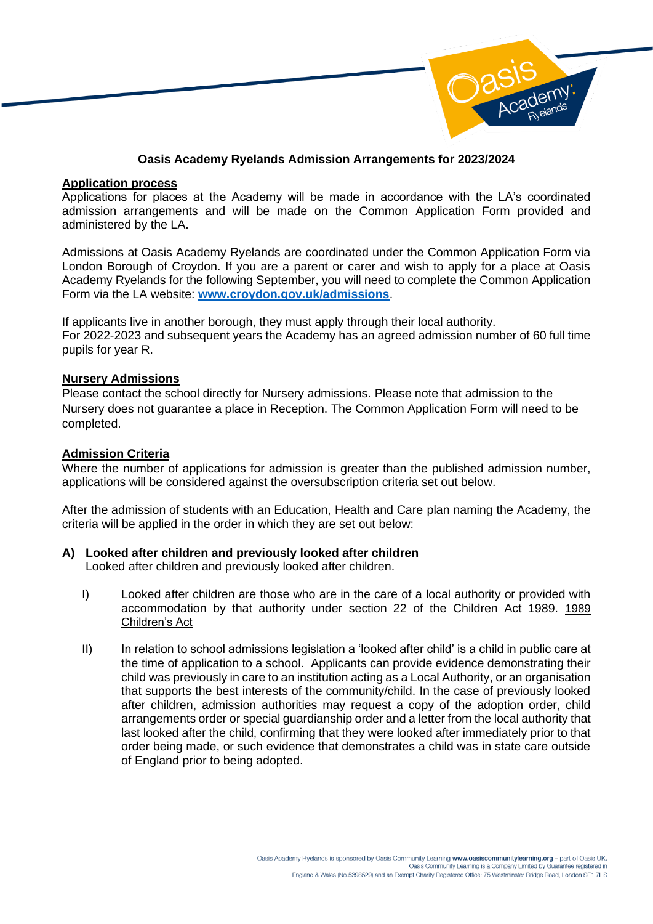

## **Oasis Academy Ryelands Admission Arrangements for 2023/2024**

#### **Application process**

Applications for places at the Academy will be made in accordance with the LA's coordinated admission arrangements and will be made on the Common Application Form provided and administered by the LA.

Admissions at Oasis Academy Ryelands are coordinated under the Common Application Form via London Borough of Croydon. If you are a parent or carer and wish to apply for a place at Oasis Academy Ryelands for the following September, you will need to complete the Common Application Form via the LA website: **[www.croydon.gov.uk/admissions](http://www.croydon.gov.uk/admissions)**.

If applicants live in another borough, they must apply through their local authority. For 2022-2023 and subsequent years the Academy has an agreed admission number of 60 full time pupils for year R.

## **Nursery Admissions**

Please contact the school directly for Nursery admissions. Please note that admission to the Nursery does not guarantee a place in Reception. The Common Application Form will need to be completed.

## **Admission Criteria**

Where the number of applications for admission is greater than the published admission number, applications will be considered against the oversubscription criteria set out below.

After the admission of students with an Education, Health and Care plan naming the Academy, the criteria will be applied in the order in which they are set out below:

# **A) Looked after children and previously looked after children**

Looked after children and previously looked after children.

- I) Looked after children are those who are in the care of a local authority or provided with accommodation by that authority under section 22 of the Children Act 1989. [1989](https://urldefense.com/v3/__https:/www.legislation.gov.uk/ukpga/1989/41/contents__;!!KUxdu5-bBfnh!qwsDTzo0SYIDmV5mmViDpwJIqwtpo3yCfSJNXDnEZGtlPJV6RyzeBxZsNMTlW-gvnPmyKuw$)  [Children's Act](https://urldefense.com/v3/__https:/www.legislation.gov.uk/ukpga/1989/41/contents__;!!KUxdu5-bBfnh!qwsDTzo0SYIDmV5mmViDpwJIqwtpo3yCfSJNXDnEZGtlPJV6RyzeBxZsNMTlW-gvnPmyKuw$)
- II) In relation to school admissions legislation a 'looked after child' is a child in public care at the time of application to a school. Applicants can provide evidence demonstrating their child was previously in care to an institution acting as a Local Authority, or an organisation that supports the best interests of the community/child. In the case of previously looked after children, admission authorities may request a copy of the adoption order, child arrangements order or special guardianship order and a letter from the local authority that last looked after the child, confirming that they were looked after immediately prior to that order being made, or such evidence that demonstrates a child was in state care outside of England prior to being adopted.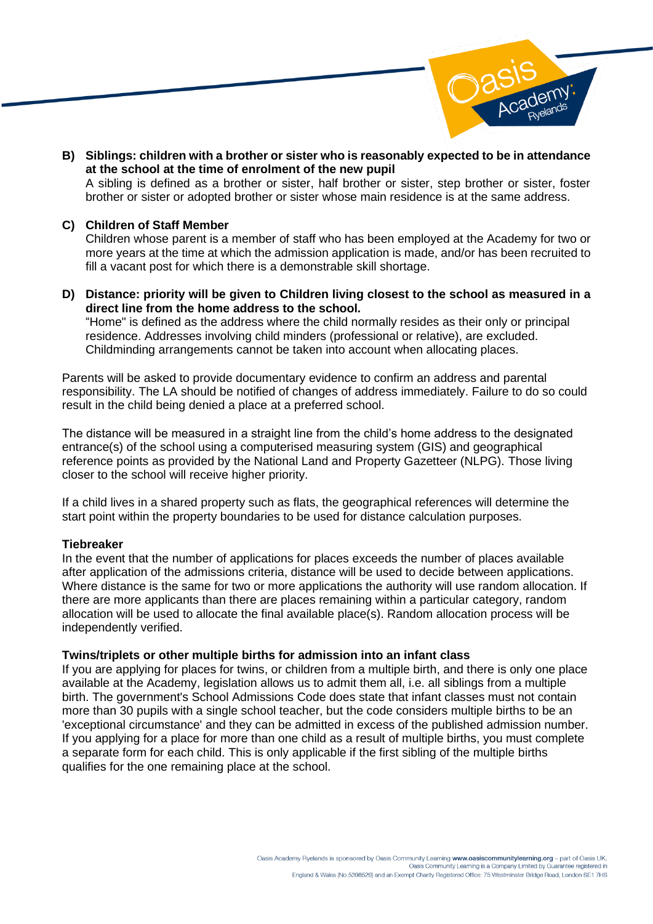

**B) Siblings: children with a brother or sister who is reasonably expected to be in attendance at the school at the time of enrolment of the new pupil**  A sibling is defined as a brother or sister, half brother or sister, step brother or sister, foster brother or sister or adopted brother or sister whose main residence is at the same address.

#### **C) Children of Staff Member**

Children whose parent is a member of staff who has been employed at the Academy for two or more years at the time at which the admission application is made, and/or has been recruited to fill a vacant post for which there is a demonstrable skill shortage.

**D) Distance: priority will be given to Children living closest to the school as measured in a direct line from the home address to the school***.* "Home" is defined as the address where the child normally resides as their only or principal residence. Addresses involving child minders (professional or relative), are excluded. Childminding arrangements cannot be taken into account when allocating places.

Parents will be asked to provide documentary evidence to confirm an address and parental responsibility. The LA should be notified of changes of address immediately. Failure to do so could result in the child being denied a place at a preferred school.

The distance will be measured in a straight line from the child's home address to the designated entrance(s) of the school using a computerised measuring system (GIS) and geographical reference points as provided by the National Land and Property Gazetteer (NLPG). Those living closer to the school will receive higher priority.

If a child lives in a shared property such as flats, the geographical references will determine the start point within the property boundaries to be used for distance calculation purposes.

#### **Tiebreaker**

In the event that the number of applications for places exceeds the number of places available after application of the admissions criteria, distance will be used to decide between applications. Where distance is the same for two or more applications the authority will use random allocation. If there are more applicants than there are places remaining within a particular category, random allocation will be used to allocate the final available place(s). Random allocation process will be independently verified.

#### **Twins/triplets or other multiple births for admission into an infant class**

If you are applying for places for twins, or children from a multiple birth, and there is only one place available at the Academy, legislation allows us to admit them all, i.e. all siblings from a multiple birth. The government's School Admissions Code does state that infant classes must not contain more than 30 pupils with a single school teacher, but the code considers multiple births to be an 'exceptional circumstance' and they can be admitted in excess of the published admission number. If you applying for a place for more than one child as a result of multiple births, you must complete a separate form for each child. This is only applicable if the first sibling of the multiple births qualifies for the one remaining place at the school.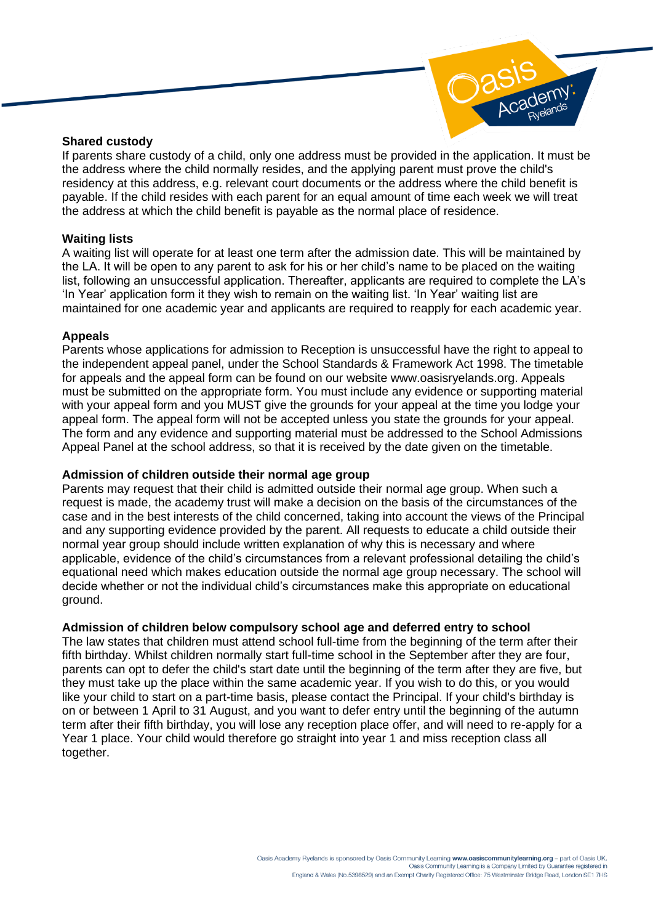

#### **Shared custody**

If parents share custody of a child, only one address must be provided in the application. It must be the address where the child normally resides, and the applying parent must prove the child's residency at this address, e.g. relevant court documents or the address where the child benefit is payable. If the child resides with each parent for an equal amount of time each week we will treat the address at which the child benefit is payable as the normal place of residence.

# **Waiting lists**

A waiting list will operate for at least one term after the admission date. This will be maintained by the LA. It will be open to any parent to ask for his or her child's name to be placed on the waiting list, following an unsuccessful application. Thereafter, applicants are required to complete the LA's 'In Year' application form it they wish to remain on the waiting list. 'In Year' waiting list are maintained for one academic year and applicants are required to reapply for each academic year.

## **Appeals**

Parents whose applications for admission to Reception is unsuccessful have the right to appeal to the independent appeal panel, under the School Standards & Framework Act 1998. The timetable for appeals and the appeal form can be found on our website www.oasisryelands.org. Appeals must be submitted on the appropriate form. You must include any evidence or supporting material with your appeal form and you MUST give the grounds for your appeal at the time you lodge your appeal form. The appeal form will not be accepted unless you state the grounds for your appeal. The form and any evidence and supporting material must be addressed to the School Admissions Appeal Panel at the school address, so that it is received by the date given on the timetable.

#### **Admission of children outside their normal age group**

Parents may request that their child is admitted outside their normal age group. When such a request is made, the academy trust will make a decision on the basis of the circumstances of the case and in the best interests of the child concerned, taking into account the views of the Principal and any supporting evidence provided by the parent. All requests to educate a child outside their normal year group should include written explanation of why this is necessary and where applicable, evidence of the child's circumstances from a relevant professional detailing the child's equational need which makes education outside the normal age group necessary. The school will decide whether or not the individual child's circumstances make this appropriate on educational ground.

# **Admission of children below compulsory school age and deferred entry to school**

The law states that children must attend school full-time from the beginning of the term after their fifth birthday. Whilst children normally start full-time school in the September after they are four, parents can opt to defer the child's start date until the beginning of the term after they are five, but they must take up the place within the same academic year. If you wish to do this, or you would like your child to start on a part-time basis, please contact the Principal. If your child's birthday is on or between 1 April to 31 August, and you want to defer entry until the beginning of the autumn term after their fifth birthday, you will lose any reception place offer, and will need to re-apply for a Year 1 place. Your child would therefore go straight into year 1 and miss reception class all together.